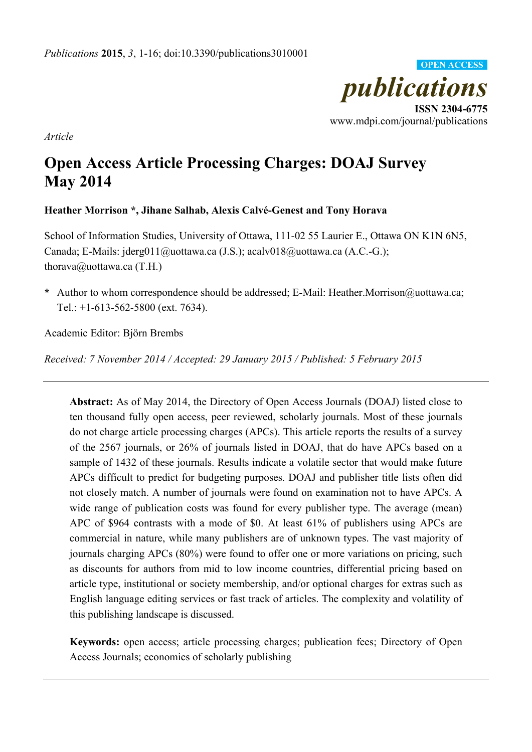

*Article* 

# **Open Access Article Processing Charges: DOAJ Survey May 2014**

# **Heather Morrison \*, Jihane Salhab, Alexis Calvé-Genest and Tony Horava**

School of Information Studies, University of Ottawa, 111-02 55 Laurier E., Ottawa ON K1N 6N5, Canada; E-Mails: jderg011@uottawa.ca (J.S.); acalv018@uottawa.ca (A.C.-G.); thorava@uottawa.ca  $(T.H.)$ 

**\*** Author to whom correspondence should be addressed; E-Mail: Heather.Morrison@uottawa.ca; Tel.: +1-613-562-5800 (ext. 7634).

Academic Editor: Björn Brembs

*Received: 7 November 2014 / Accepted: 29 January 2015 / Published: 5 February 2015* 

**Abstract:** As of May 2014, the Directory of Open Access Journals (DOAJ) listed close to ten thousand fully open access, peer reviewed, scholarly journals. Most of these journals do not charge article processing charges (APCs). This article reports the results of a survey of the 2567 journals, or 26% of journals listed in DOAJ, that do have APCs based on a sample of 1432 of these journals. Results indicate a volatile sector that would make future APCs difficult to predict for budgeting purposes. DOAJ and publisher title lists often did not closely match. A number of journals were found on examination not to have APCs. A wide range of publication costs was found for every publisher type. The average (mean) APC of \$964 contrasts with a mode of \$0. At least 61% of publishers using APCs are commercial in nature, while many publishers are of unknown types. The vast majority of journals charging APCs (80%) were found to offer one or more variations on pricing, such as discounts for authors from mid to low income countries, differential pricing based on article type, institutional or society membership, and/or optional charges for extras such as English language editing services or fast track of articles. The complexity and volatility of this publishing landscape is discussed.

**Keywords:** open access; article processing charges; publication fees; Directory of Open Access Journals; economics of scholarly publishing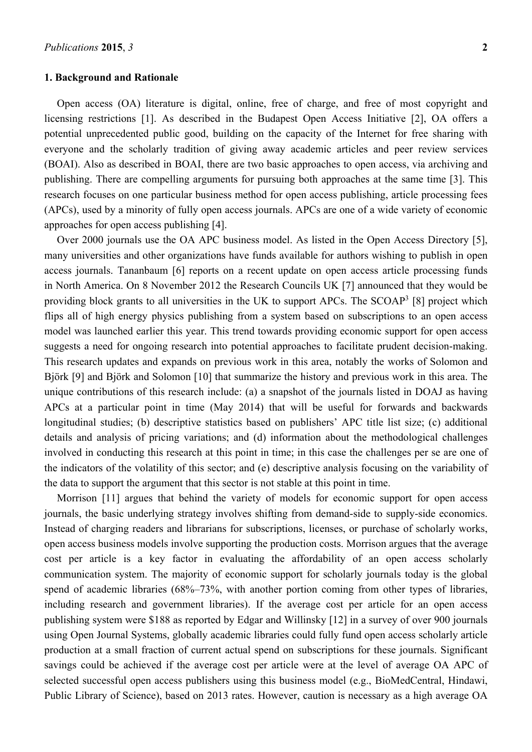#### **1. Background and Rationale**

Open access (OA) literature is digital, online, free of charge, and free of most copyright and licensing restrictions [1]. As described in the Budapest Open Access Initiative [2], OA offers a potential unprecedented public good, building on the capacity of the Internet for free sharing with everyone and the scholarly tradition of giving away academic articles and peer review services (BOAI). Also as described in BOAI, there are two basic approaches to open access, via archiving and publishing. There are compelling arguments for pursuing both approaches at the same time [3]. This research focuses on one particular business method for open access publishing, article processing fees (APCs), used by a minority of fully open access journals. APCs are one of a wide variety of economic approaches for open access publishing [4].

Over 2000 journals use the OA APC business model. As listed in the Open Access Directory [5], many universities and other organizations have funds available for authors wishing to publish in open access journals. Tananbaum [6] reports on a recent update on open access article processing funds in North America. On 8 November 2012 the Research Councils UK [7] announced that they would be providing block grants to all universities in the UK to support APCs. The SCOAP<sup>3</sup> [8] project which flips all of high energy physics publishing from a system based on subscriptions to an open access model was launched earlier this year. This trend towards providing economic support for open access suggests a need for ongoing research into potential approaches to facilitate prudent decision-making. This research updates and expands on previous work in this area, notably the works of Solomon and Björk [9] and Björk and Solomon [10] that summarize the history and previous work in this area. The unique contributions of this research include: (a) a snapshot of the journals listed in DOAJ as having APCs at a particular point in time (May 2014) that will be useful for forwards and backwards longitudinal studies; (b) descriptive statistics based on publishers' APC title list size; (c) additional details and analysis of pricing variations; and (d) information about the methodological challenges involved in conducting this research at this point in time; in this case the challenges per se are one of the indicators of the volatility of this sector; and (e) descriptive analysis focusing on the variability of the data to support the argument that this sector is not stable at this point in time.

Morrison [11] argues that behind the variety of models for economic support for open access journals, the basic underlying strategy involves shifting from demand-side to supply-side economics. Instead of charging readers and librarians for subscriptions, licenses, or purchase of scholarly works, open access business models involve supporting the production costs. Morrison argues that the average cost per article is a key factor in evaluating the affordability of an open access scholarly communication system. The majority of economic support for scholarly journals today is the global spend of academic libraries (68%–73%, with another portion coming from other types of libraries, including research and government libraries). If the average cost per article for an open access publishing system were \$188 as reported by Edgar and Willinsky [12] in a survey of over 900 journals using Open Journal Systems, globally academic libraries could fully fund open access scholarly article production at a small fraction of current actual spend on subscriptions for these journals. Significant savings could be achieved if the average cost per article were at the level of average OA APC of selected successful open access publishers using this business model (e.g., BioMedCentral, Hindawi, Public Library of Science), based on 2013 rates. However, caution is necessary as a high average OA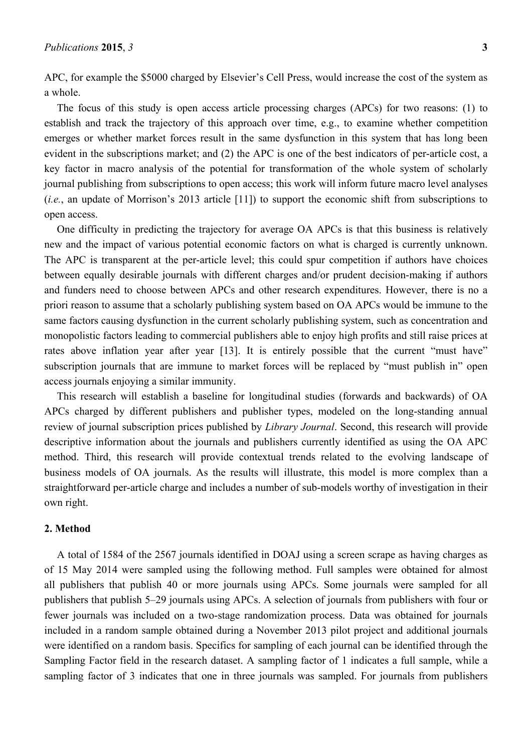APC, for example the \$5000 charged by Elsevier's Cell Press, would increase the cost of the system as a whole.

The focus of this study is open access article processing charges (APCs) for two reasons: (1) to establish and track the trajectory of this approach over time, e.g., to examine whether competition emerges or whether market forces result in the same dysfunction in this system that has long been evident in the subscriptions market; and (2) the APC is one of the best indicators of per-article cost, a key factor in macro analysis of the potential for transformation of the whole system of scholarly journal publishing from subscriptions to open access; this work will inform future macro level analyses (*i.e.*, an update of Morrison's 2013 article [11]) to support the economic shift from subscriptions to open access.

One difficulty in predicting the trajectory for average OA APCs is that this business is relatively new and the impact of various potential economic factors on what is charged is currently unknown. The APC is transparent at the per-article level; this could spur competition if authors have choices between equally desirable journals with different charges and/or prudent decision-making if authors and funders need to choose between APCs and other research expenditures. However, there is no a priori reason to assume that a scholarly publishing system based on OA APCs would be immune to the same factors causing dysfunction in the current scholarly publishing system, such as concentration and monopolistic factors leading to commercial publishers able to enjoy high profits and still raise prices at rates above inflation year after year [13]. It is entirely possible that the current "must have" subscription journals that are immune to market forces will be replaced by "must publish in" open access journals enjoying a similar immunity.

This research will establish a baseline for longitudinal studies (forwards and backwards) of OA APCs charged by different publishers and publisher types, modeled on the long-standing annual review of journal subscription prices published by *Library Journal*. Second, this research will provide descriptive information about the journals and publishers currently identified as using the OA APC method. Third, this research will provide contextual trends related to the evolving landscape of business models of OA journals. As the results will illustrate, this model is more complex than a straightforward per-article charge and includes a number of sub-models worthy of investigation in their own right.

#### **2. Method**

A total of 1584 of the 2567 journals identified in DOAJ using a screen scrape as having charges as of 15 May 2014 were sampled using the following method. Full samples were obtained for almost all publishers that publish 40 or more journals using APCs. Some journals were sampled for all publishers that publish 5–29 journals using APCs. A selection of journals from publishers with four or fewer journals was included on a two-stage randomization process. Data was obtained for journals included in a random sample obtained during a November 2013 pilot project and additional journals were identified on a random basis. Specifics for sampling of each journal can be identified through the Sampling Factor field in the research dataset. A sampling factor of 1 indicates a full sample, while a sampling factor of 3 indicates that one in three journals was sampled. For journals from publishers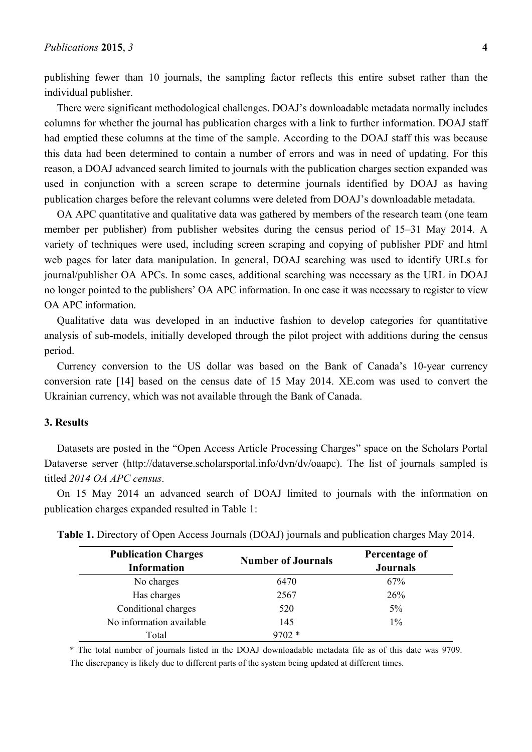publishing fewer than 10 journals, the sampling factor reflects this entire subset rather than the individual publisher.

There were significant methodological challenges. DOAJ's downloadable metadata normally includes columns for whether the journal has publication charges with a link to further information. DOAJ staff had emptied these columns at the time of the sample. According to the DOAJ staff this was because this data had been determined to contain a number of errors and was in need of updating. For this reason, a DOAJ advanced search limited to journals with the publication charges section expanded was used in conjunction with a screen scrape to determine journals identified by DOAJ as having publication charges before the relevant columns were deleted from DOAJ's downloadable metadata.

OA APC quantitative and qualitative data was gathered by members of the research team (one team member per publisher) from publisher websites during the census period of 15–31 May 2014. A variety of techniques were used, including screen scraping and copying of publisher PDF and html web pages for later data manipulation. In general, DOAJ searching was used to identify URLs for journal/publisher OA APCs. In some cases, additional searching was necessary as the URL in DOAJ no longer pointed to the publishers' OA APC information. In one case it was necessary to register to view OA APC information.

Qualitative data was developed in an inductive fashion to develop categories for quantitative analysis of sub-models, initially developed through the pilot project with additions during the census period.

Currency conversion to the US dollar was based on the Bank of Canada's 10-year currency conversion rate [14] based on the census date of 15 May 2014. XE.com was used to convert the Ukrainian currency, which was not available through the Bank of Canada.

#### **3. Results**

Datasets are posted in the "Open Access Article Processing Charges" space on the Scholars Portal Dataverse server (http://dataverse.scholarsportal.info/dvn/dv/oaapc). The list of journals sampled is titled *2014 OA APC census*.

On 15 May 2014 an advanced search of DOAJ limited to journals with the information on publication charges expanded resulted in Table 1:

| <b>Publication Charges</b><br><b>Information</b> | <b>Number of Journals</b> | Percentage of<br><b>Journals</b> |  |  |
|--------------------------------------------------|---------------------------|----------------------------------|--|--|
| No charges                                       | 6470                      | 67%                              |  |  |
| Has charges                                      | 2567                      | 26%                              |  |  |
| Conditional charges                              | 520                       | 5%                               |  |  |
| No information available                         | 145                       | $1\%$                            |  |  |
| Total                                            | $702*$                    |                                  |  |  |

**Table 1.** Directory of Open Access Journals (DOAJ) journals and publication charges May 2014.

\* The total number of journals listed in the DOAJ downloadable metadata file as of this date was 9709. The discrepancy is likely due to different parts of the system being updated at different times.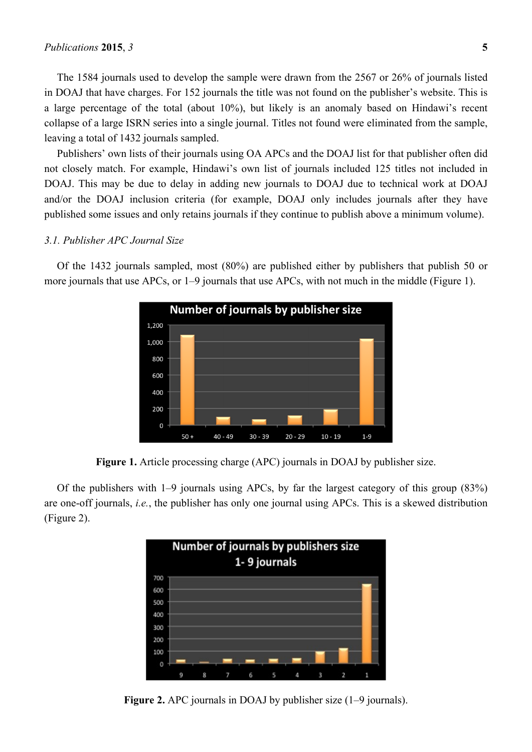#### *Publications* **2015**, *3* **5**

The 1584 journals used to develop the sample were drawn from the 2567 or 26% of journals listed in DOAJ that have charges. For 152 journals the title was not found on the publisher's website. This is a large percentage of the total (about 10%), but likely is an anomaly based on Hindawi's recent collapse of a large ISRN series into a single journal. Titles not found were eliminated from the sample, leaving a total of 1432 journals sampled.

Publishers' own lists of their journals using OA APCs and the DOAJ list for that publisher often did not closely match. For example, Hindawi's own list of journals included 125 titles not included in DOAJ. This may be due to delay in adding new journals to DOAJ due to technical work at DOAJ and/or the DOAJ inclusion criteria (for example, DOAJ only includes journals after they have published some issues and only retains journals if they continue to publish above a minimum volume).

## *3.1. Publisher APC Journal Size*

Of the 1432 journals sampled, most (80%) are published either by publishers that publish 50 or more journals that use APCs, or 1–9 journals that use APCs, with not much in the middle (Figure 1).



**Figure 1.** Article processing charge (APC) journals in DOAJ by publisher size.

Of the publishers with 1–9 journals using APCs, by far the largest category of this group (83%) are one-off journals, *i.e.*, the publisher has only one journal using APCs. This is a skewed distribution (Figure 2).



**Figure 2.** APC journals in DOAJ by publisher size (1–9 journals).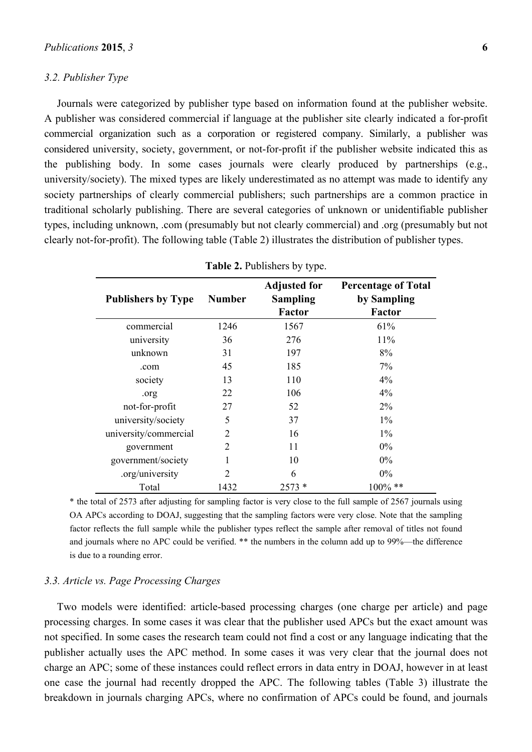### *3.2. Publisher Type*

Journals were categorized by publisher type based on information found at the publisher website. A publisher was considered commercial if language at the publisher site clearly indicated a for-profit commercial organization such as a corporation or registered company. Similarly, a publisher was considered university, society, government, or not-for-profit if the publisher website indicated this as the publishing body. In some cases journals were clearly produced by partnerships (e.g., university/society). The mixed types are likely underestimated as no attempt was made to identify any society partnerships of clearly commercial publishers; such partnerships are a common practice in traditional scholarly publishing. There are several categories of unknown or unidentifiable publisher types, including unknown, .com (presumably but not clearly commercial) and .org (presumably but not clearly not-for-profit). The following table (Table 2) illustrates the distribution of publisher types.

| <b>Publishers by Type</b> | <b>Number</b>  | <b>Adjusted for</b><br><b>Sampling</b><br><b>Factor</b> | <b>Percentage of Total</b><br>by Sampling<br>Factor |
|---------------------------|----------------|---------------------------------------------------------|-----------------------------------------------------|
| commercial                | 1246           | 1567                                                    | 61%                                                 |
| university                | 36             | 276                                                     | 11%                                                 |
| unknown                   | 31             | 197                                                     | 8%                                                  |
| .com                      | 45             | 185                                                     | $7\%$                                               |
| society                   | 13             | 110                                                     | 4%                                                  |
| .org                      | 22             | 106                                                     | $4\%$                                               |
| not-for-profit            | 27             | 52                                                      | $2\%$                                               |
| university/society        | 5              | 37                                                      | $1\%$                                               |
| university/commercial     | $\mathfrak{D}$ | 16                                                      | $1\%$                                               |
| government                | 2              | 11                                                      | $0\%$                                               |
| government/society        | 1              | 10                                                      | $0\%$                                               |
| .org/university           | 2              | 6                                                       | $0\%$                                               |
| Total                     | 1432           | $2573*$                                                 | $100\%$ **                                          |

|  | Table 2. Publishers by type. |  |  |
|--|------------------------------|--|--|
|--|------------------------------|--|--|

\* the total of 2573 after adjusting for sampling factor is very close to the full sample of 2567 journals using OA APCs according to DOAJ, suggesting that the sampling factors were very close. Note that the sampling factor reflects the full sample while the publisher types reflect the sample after removal of titles not found and journals where no APC could be verified. \*\* the numbers in the column add up to 99%—the difference is due to a rounding error.

## *3.3. Article vs. Page Processing Charges*

Two models were identified: article-based processing charges (one charge per article) and page processing charges. In some cases it was clear that the publisher used APCs but the exact amount was not specified. In some cases the research team could not find a cost or any language indicating that the publisher actually uses the APC method. In some cases it was very clear that the journal does not charge an APC; some of these instances could reflect errors in data entry in DOAJ, however in at least one case the journal had recently dropped the APC. The following tables (Table 3) illustrate the breakdown in journals charging APCs, where no confirmation of APCs could be found, and journals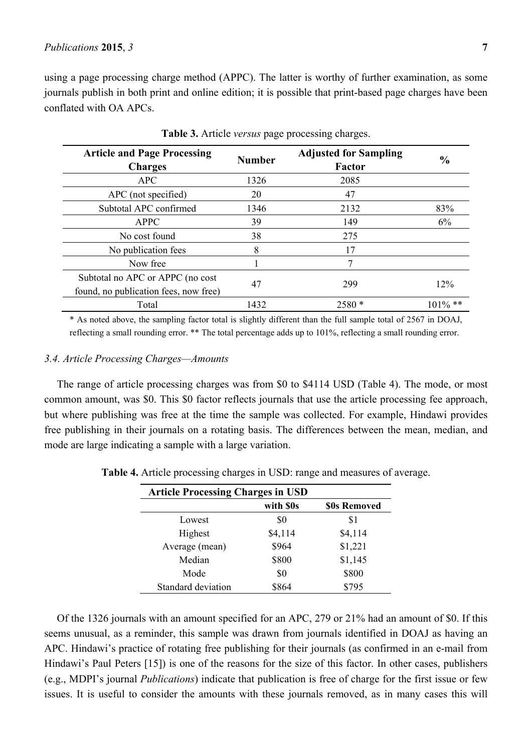using a page processing charge method (APPC). The latter is worthy of further examination, as some journals publish in both print and online edition; it is possible that print-based page charges have been conflated with OA APCs.

| <b>Article and Page Processing</b><br><b>Charges</b> | <b>Number</b> | <b>Adjusted for Sampling</b><br><b>Factor</b> | $\frac{6}{9}$ |
|------------------------------------------------------|---------------|-----------------------------------------------|---------------|
| <b>APC</b>                                           | 1326          | 2085                                          |               |
| APC (not specified)                                  | 20            | 47                                            |               |
| Subtotal APC confirmed                               | 1346          | 2132                                          | 83%           |
| <b>APPC</b>                                          | 39            | 149                                           | 6%            |
| No cost found                                        | 38            | 275                                           |               |
| No publication fees                                  | 8             | 17                                            |               |
| Now free                                             |               |                                               |               |
| Subtotal no APC or APPC (no cost                     |               | 299                                           | 12%           |
| found, no publication fees, now free)                | 47            |                                               |               |
| Total                                                | 1432          | $2580*$                                       | $101\%$ **    |

**Table 3.** Article *versus* page processing charges.

\* As noted above, the sampling factor total is slightly different than the full sample total of 2567 in DOAJ, reflecting a small rounding error. \*\* The total percentage adds up to 101%, reflecting a small rounding error.

## *3.4. Article Processing Charges—Amounts*

The range of article processing charges was from \$0 to \$4114 USD (Table 4). The mode, or most common amount, was \$0. This \$0 factor reflects journals that use the article processing fee approach, but where publishing was free at the time the sample was collected. For example, Hindawi provides free publishing in their journals on a rotating basis. The differences between the mean, median, and mode are large indicating a sample with a large variation.

| <b>Article Processing Charges in USD</b> |           |              |  |  |  |
|------------------------------------------|-----------|--------------|--|--|--|
|                                          | with \$0s | \$0s Removed |  |  |  |
| Lowest                                   | \$0       | \$1          |  |  |  |
| Highest                                  | \$4,114   | \$4,114      |  |  |  |
| Average (mean)                           | \$964     | \$1,221      |  |  |  |
| Median                                   | \$800     | \$1,145      |  |  |  |
| Mode                                     | \$0       | \$800        |  |  |  |
| Standard deviation                       | \$864     | \$795        |  |  |  |

**Table 4.** Article processing charges in USD: range and measures of average.

Of the 1326 journals with an amount specified for an APC, 279 or 21% had an amount of \$0. If this seems unusual, as a reminder, this sample was drawn from journals identified in DOAJ as having an APC. Hindawi's practice of rotating free publishing for their journals (as confirmed in an e-mail from Hindawi's Paul Peters [15]) is one of the reasons for the size of this factor. In other cases, publishers (e.g., MDPI's journal *Publications*) indicate that publication is free of charge for the first issue or few issues. It is useful to consider the amounts with these journals removed, as in many cases this will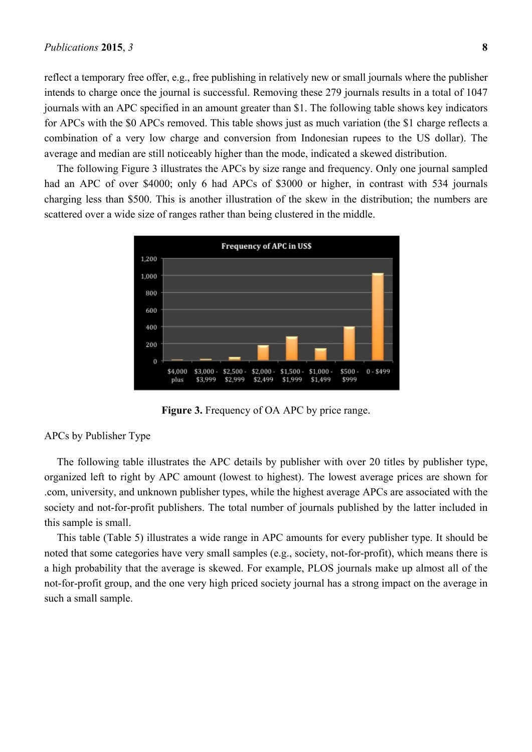reflect a temporary free offer, e.g., free publishing in relatively new or small journals where the publisher intends to charge once the journal is successful. Removing these 279 journals results in a total of 1047 journals with an APC specified in an amount greater than \$1. The following table shows key indicators for APCs with the \$0 APCs removed. This table shows just as much variation (the \$1 charge reflects a combination of a very low charge and conversion from Indonesian rupees to the US dollar). The average and median are still noticeably higher than the mode, indicated a skewed distribution.

The following Figure 3 illustrates the APCs by size range and frequency. Only one journal sampled had an APC of over \$4000; only 6 had APCs of \$3000 or higher, in contrast with 534 journals charging less than \$500. This is another illustration of the skew in the distribution; the numbers are scattered over a wide size of ranges rather than being clustered in the middle.



**Figure 3.** Frequency of OA APC by price range.

## APCs by Publisher Type

The following table illustrates the APC details by publisher with over 20 titles by publisher type, organized left to right by APC amount (lowest to highest). The lowest average prices are shown for .com, university, and unknown publisher types, while the highest average APCs are associated with the society and not-for-profit publishers. The total number of journals published by the latter included in this sample is small.

This table (Table 5) illustrates a wide range in APC amounts for every publisher type. It should be noted that some categories have very small samples (e.g., society, not-for-profit), which means there is a high probability that the average is skewed. For example, PLOS journals make up almost all of the not-for-profit group, and the one very high priced society journal has a strong impact on the average in such a small sample.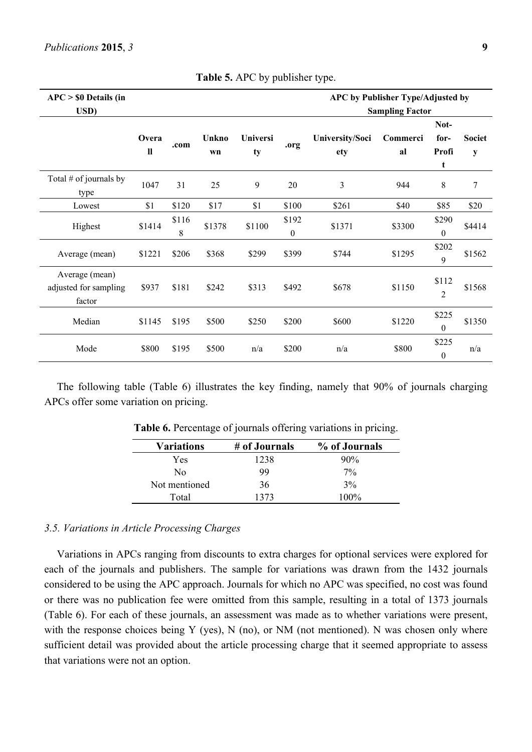| $APC > $0$ Details (in<br>USD)                    |                      |            |             |                |                           | APC by Publisher Type/Adjusted by<br><b>Sampling Factor</b> |                |                            |                    |
|---------------------------------------------------|----------------------|------------|-------------|----------------|---------------------------|-------------------------------------------------------------|----------------|----------------------------|--------------------|
|                                                   | Overa<br>$\mathbf l$ | .com       | Unkno<br>wn | Universi<br>ty | .org                      | University/Soci<br>ety                                      | Commerci<br>al | Not-<br>for-<br>Profi<br>t | <b>Societ</b><br>y |
| Total $#$ of journals by<br>type                  | 1047                 | 31         | 25          | 9              | 20                        | 3                                                           | 944            | 8                          | 7                  |
| Lowest                                            | \$1                  | \$120      | \$17        | \$1            | \$100                     | \$261                                                       | \$40           | \$85                       | \$20               |
| Highest                                           | \$1414               | \$116<br>8 | \$1378      | \$1100         | \$192<br>$\boldsymbol{0}$ | \$1371                                                      | \$3300         | \$290<br>$\boldsymbol{0}$  | \$4414             |
| Average (mean)                                    | \$1221               | \$206      | \$368       | \$299          | \$399                     | \$744                                                       | \$1295         | \$202<br>9                 | \$1562             |
| Average (mean)<br>adjusted for sampling<br>factor | \$937                | \$181      | \$242       | \$313          | \$492                     | \$678                                                       | \$1150         | \$112<br>$\overline{2}$    | \$1568             |
| Median                                            | \$1145               | \$195      | \$500       | \$250          | \$200                     | \$600                                                       | \$1220         | \$225<br>0                 | \$1350             |
| Mode                                              | \$800                | \$195      | \$500       | n/a            | \$200                     | n/a                                                         | \$800          | \$225<br>$\boldsymbol{0}$  | n/a                |

**Table 5.** APC by publisher type.

The following table (Table 6) illustrates the key finding, namely that 90% of journals charging APCs offer some variation on pricing.

| <b>Variations</b> | # of Journals | % of Journals |
|-------------------|---------------|---------------|
| Yes               | 1238          | 90%           |
| Nο                | 99            | $7\%$         |
| Not mentioned     | 36            | 3%            |
| Total             | 1373          | $100\%$       |

**Table 6.** Percentage of journals offering variations in pricing.

#### *3.5. Variations in Article Processing Charges*

Variations in APCs ranging from discounts to extra charges for optional services were explored for each of the journals and publishers. The sample for variations was drawn from the 1432 journals considered to be using the APC approach. Journals for which no APC was specified, no cost was found or there was no publication fee were omitted from this sample, resulting in a total of 1373 journals (Table 6). For each of these journals, an assessment was made as to whether variations were present, with the response choices being Y (yes), N (no), or NM (not mentioned). N was chosen only where sufficient detail was provided about the article processing charge that it seemed appropriate to assess that variations were not an option.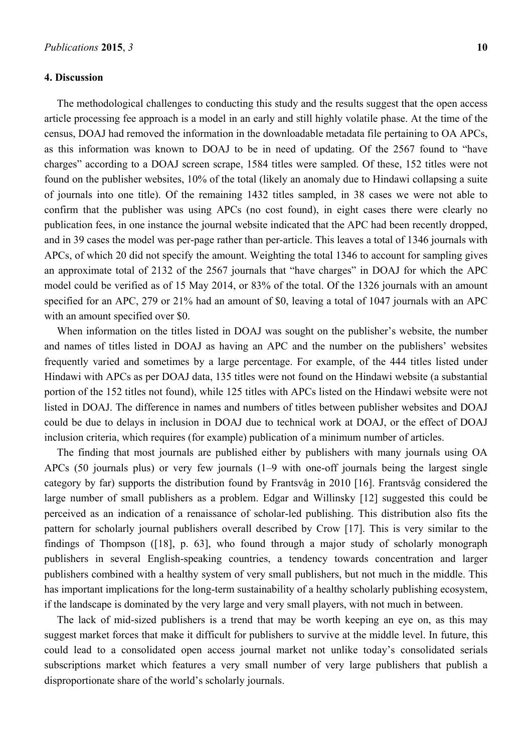#### **4. Discussion**

The methodological challenges to conducting this study and the results suggest that the open access article processing fee approach is a model in an early and still highly volatile phase. At the time of the census, DOAJ had removed the information in the downloadable metadata file pertaining to OA APCs, as this information was known to DOAJ to be in need of updating. Of the 2567 found to "have charges" according to a DOAJ screen scrape, 1584 titles were sampled. Of these, 152 titles were not found on the publisher websites, 10% of the total (likely an anomaly due to Hindawi collapsing a suite of journals into one title). Of the remaining 1432 titles sampled, in 38 cases we were not able to confirm that the publisher was using APCs (no cost found), in eight cases there were clearly no publication fees, in one instance the journal website indicated that the APC had been recently dropped, and in 39 cases the model was per-page rather than per-article. This leaves a total of 1346 journals with APCs, of which 20 did not specify the amount. Weighting the total 1346 to account for sampling gives an approximate total of 2132 of the 2567 journals that "have charges" in DOAJ for which the APC model could be verified as of 15 May 2014, or 83% of the total. Of the 1326 journals with an amount specified for an APC, 279 or 21% had an amount of \$0, leaving a total of 1047 journals with an APC with an amount specified over \$0.

When information on the titles listed in DOAJ was sought on the publisher's website, the number and names of titles listed in DOAJ as having an APC and the number on the publishers' websites frequently varied and sometimes by a large percentage. For example, of the 444 titles listed under Hindawi with APCs as per DOAJ data, 135 titles were not found on the Hindawi website (a substantial portion of the 152 titles not found), while 125 titles with APCs listed on the Hindawi website were not listed in DOAJ. The difference in names and numbers of titles between publisher websites and DOAJ could be due to delays in inclusion in DOAJ due to technical work at DOAJ, or the effect of DOAJ inclusion criteria, which requires (for example) publication of a minimum number of articles.

The finding that most journals are published either by publishers with many journals using OA APCs (50 journals plus) or very few journals (1–9 with one-off journals being the largest single category by far) supports the distribution found by Frantsvåg in 2010 [16]. Frantsvåg considered the large number of small publishers as a problem. Edgar and Willinsky [12] suggested this could be perceived as an indication of a renaissance of scholar-led publishing. This distribution also fits the pattern for scholarly journal publishers overall described by Crow [17]. This is very similar to the findings of Thompson ([18], p. 63], who found through a major study of scholarly monograph publishers in several English-speaking countries, a tendency towards concentration and larger publishers combined with a healthy system of very small publishers, but not much in the middle. This has important implications for the long-term sustainability of a healthy scholarly publishing ecosystem, if the landscape is dominated by the very large and very small players, with not much in between.

The lack of mid-sized publishers is a trend that may be worth keeping an eye on, as this may suggest market forces that make it difficult for publishers to survive at the middle level. In future, this could lead to a consolidated open access journal market not unlike today's consolidated serials subscriptions market which features a very small number of very large publishers that publish a disproportionate share of the world's scholarly journals.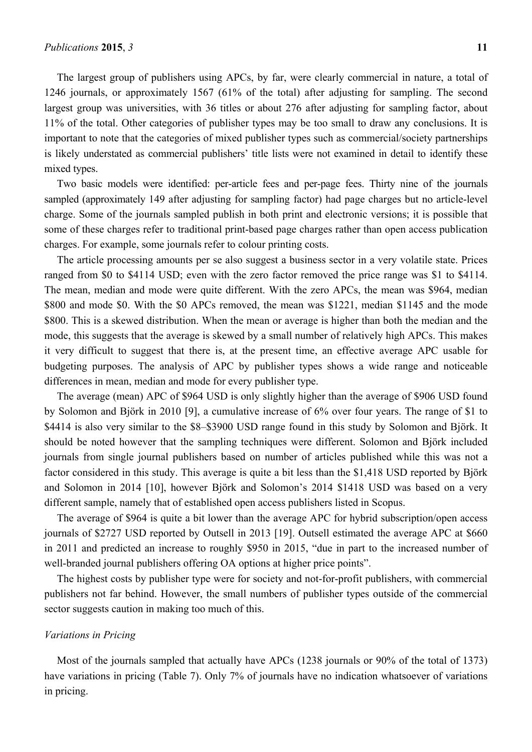The largest group of publishers using APCs, by far, were clearly commercial in nature, a total of 1246 journals, or approximately 1567 (61% of the total) after adjusting for sampling. The second largest group was universities, with 36 titles or about 276 after adjusting for sampling factor, about 11% of the total. Other categories of publisher types may be too small to draw any conclusions. It is important to note that the categories of mixed publisher types such as commercial/society partnerships is likely understated as commercial publishers' title lists were not examined in detail to identify these mixed types.

Two basic models were identified: per-article fees and per-page fees. Thirty nine of the journals sampled (approximately 149 after adjusting for sampling factor) had page charges but no article-level charge. Some of the journals sampled publish in both print and electronic versions; it is possible that some of these charges refer to traditional print-based page charges rather than open access publication charges. For example, some journals refer to colour printing costs.

The article processing amounts per se also suggest a business sector in a very volatile state. Prices ranged from \$0 to \$4114 USD; even with the zero factor removed the price range was \$1 to \$4114. The mean, median and mode were quite different. With the zero APCs, the mean was \$964, median \$800 and mode \$0. With the \$0 APCs removed, the mean was \$1221, median \$1145 and the mode \$800. This is a skewed distribution. When the mean or average is higher than both the median and the mode, this suggests that the average is skewed by a small number of relatively high APCs. This makes it very difficult to suggest that there is, at the present time, an effective average APC usable for budgeting purposes. The analysis of APC by publisher types shows a wide range and noticeable differences in mean, median and mode for every publisher type.

The average (mean) APC of \$964 USD is only slightly higher than the average of \$906 USD found by Solomon and Björk in 2010 [9], a cumulative increase of 6% over four years. The range of \$1 to \$4414 is also very similar to the \$8–\$3900 USD range found in this study by Solomon and Björk. It should be noted however that the sampling techniques were different. Solomon and Björk included journals from single journal publishers based on number of articles published while this was not a factor considered in this study. This average is quite a bit less than the \$1,418 USD reported by Björk and Solomon in 2014 [10], however Björk and Solomon's 2014 \$1418 USD was based on a very different sample, namely that of established open access publishers listed in Scopus.

The average of \$964 is quite a bit lower than the average APC for hybrid subscription/open access journals of \$2727 USD reported by Outsell in 2013 [19]. Outsell estimated the average APC at \$660 in 2011 and predicted an increase to roughly \$950 in 2015, "due in part to the increased number of well-branded journal publishers offering OA options at higher price points".

The highest costs by publisher type were for society and not-for-profit publishers, with commercial publishers not far behind. However, the small numbers of publisher types outside of the commercial sector suggests caution in making too much of this.

## *Variations in Pricing*

Most of the journals sampled that actually have APCs (1238 journals or 90% of the total of 1373) have variations in pricing (Table 7). Only 7% of journals have no indication whatsoever of variations in pricing.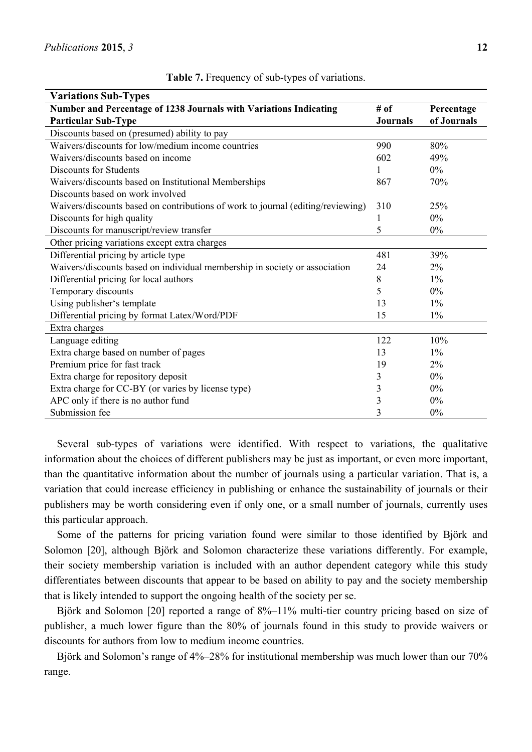| <b>Variations Sub-Types</b>                                                     |                 |             |
|---------------------------------------------------------------------------------|-----------------|-------------|
| Number and Percentage of 1238 Journals with Variations Indicating               | # of            | Percentage  |
| <b>Particular Sub-Type</b>                                                      | <b>Journals</b> | of Journals |
| Discounts based on (presumed) ability to pay                                    |                 |             |
| Waivers/discounts for low/medium income countries                               | 990             | 80%         |
| Waivers/discounts based on income                                               | 602             | 49%         |
| <b>Discounts for Students</b>                                                   | 1               | $0\%$       |
| Waivers/discounts based on Institutional Memberships                            | 867             | 70%         |
| Discounts based on work involved                                                |                 |             |
| Waivers/discounts based on contributions of work to journal (editing/reviewing) | 310             | 25%         |
| Discounts for high quality                                                      | 1               | 0%          |
| Discounts for manuscript/review transfer                                        | 5               | 0%          |
| Other pricing variations except extra charges                                   |                 |             |
| Differential pricing by article type                                            | 481             | 39%         |
| Waivers/discounts based on individual membership in society or association      | 24              | 2%          |
| Differential pricing for local authors                                          | 8               | $1\%$       |
| Temporary discounts                                                             | 5               | $0\%$       |
| Using publisher's template                                                      | 13              | $1\%$       |
| Differential pricing by format Latex/Word/PDF                                   | 15              | $1\%$       |
| Extra charges                                                                   |                 |             |
| Language editing                                                                | 122             | 10%         |
| Extra charge based on number of pages                                           | 13              | $1\%$       |
| Premium price for fast track                                                    | 19              | 2%          |
| Extra charge for repository deposit                                             | 3               | 0%          |
| Extra charge for CC-BY (or varies by license type)                              | 3               | 0%          |
| APC only if there is no author fund                                             | 3               | 0%          |
| Submission fee                                                                  | 3               | 0%          |

**Table 7.** Frequency of sub-types of variations.

Several sub-types of variations were identified. With respect to variations, the qualitative information about the choices of different publishers may be just as important, or even more important, than the quantitative information about the number of journals using a particular variation. That is, a variation that could increase efficiency in publishing or enhance the sustainability of journals or their publishers may be worth considering even if only one, or a small number of journals, currently uses this particular approach.

Some of the patterns for pricing variation found were similar to those identified by Björk and Solomon [20], although Björk and Solomon characterize these variations differently. For example, their society membership variation is included with an author dependent category while this study differentiates between discounts that appear to be based on ability to pay and the society membership that is likely intended to support the ongoing health of the society per se.

Björk and Solomon [20] reported a range of 8%–11% multi-tier country pricing based on size of publisher, a much lower figure than the 80% of journals found in this study to provide waivers or discounts for authors from low to medium income countries.

Björk and Solomon's range of 4%–28% for institutional membership was much lower than our 70% range.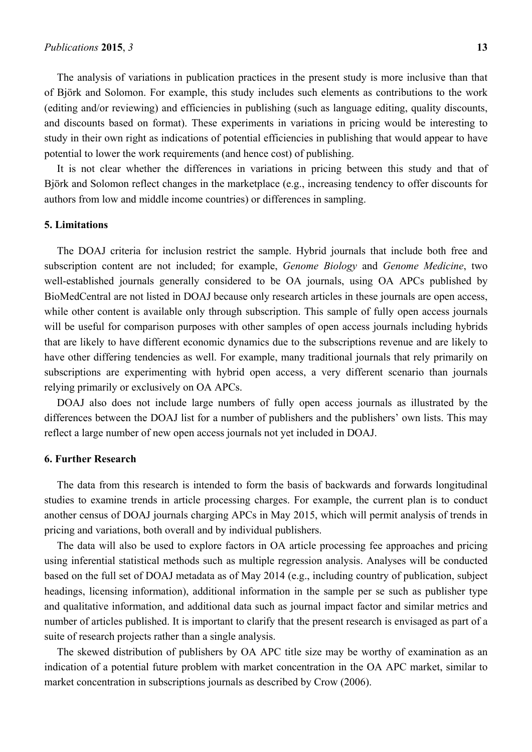The analysis of variations in publication practices in the present study is more inclusive than that of Björk and Solomon. For example, this study includes such elements as contributions to the work (editing and/or reviewing) and efficiencies in publishing (such as language editing, quality discounts, and discounts based on format). These experiments in variations in pricing would be interesting to study in their own right as indications of potential efficiencies in publishing that would appear to have potential to lower the work requirements (and hence cost) of publishing.

It is not clear whether the differences in variations in pricing between this study and that of Björk and Solomon reflect changes in the marketplace (e.g., increasing tendency to offer discounts for authors from low and middle income countries) or differences in sampling.

### **5. Limitations**

The DOAJ criteria for inclusion restrict the sample. Hybrid journals that include both free and subscription content are not included; for example, *Genome Biology* and *Genome Medicine*, two well-established journals generally considered to be OA journals, using OA APCs published by BioMedCentral are not listed in DOAJ because only research articles in these journals are open access, while other content is available only through subscription. This sample of fully open access journals will be useful for comparison purposes with other samples of open access journals including hybrids that are likely to have different economic dynamics due to the subscriptions revenue and are likely to have other differing tendencies as well. For example, many traditional journals that rely primarily on subscriptions are experimenting with hybrid open access, a very different scenario than journals relying primarily or exclusively on OA APCs.

DOAJ also does not include large numbers of fully open access journals as illustrated by the differences between the DOAJ list for a number of publishers and the publishers' own lists. This may reflect a large number of new open access journals not yet included in DOAJ.

#### **6. Further Research**

The data from this research is intended to form the basis of backwards and forwards longitudinal studies to examine trends in article processing charges. For example, the current plan is to conduct another census of DOAJ journals charging APCs in May 2015, which will permit analysis of trends in pricing and variations, both overall and by individual publishers.

The data will also be used to explore factors in OA article processing fee approaches and pricing using inferential statistical methods such as multiple regression analysis. Analyses will be conducted based on the full set of DOAJ metadata as of May 2014 (e.g., including country of publication, subject headings, licensing information), additional information in the sample per se such as publisher type and qualitative information, and additional data such as journal impact factor and similar metrics and number of articles published. It is important to clarify that the present research is envisaged as part of a suite of research projects rather than a single analysis.

The skewed distribution of publishers by OA APC title size may be worthy of examination as an indication of a potential future problem with market concentration in the OA APC market, similar to market concentration in subscriptions journals as described by Crow (2006).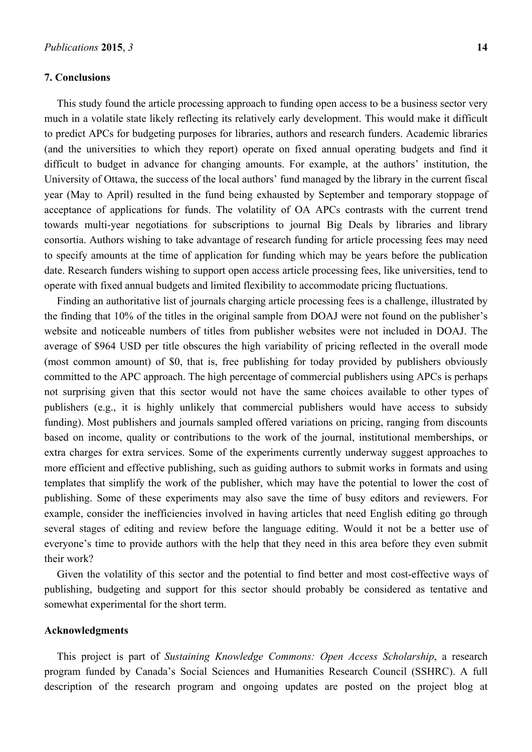#### **7. Conclusions**

This study found the article processing approach to funding open access to be a business sector very much in a volatile state likely reflecting its relatively early development. This would make it difficult to predict APCs for budgeting purposes for libraries, authors and research funders. Academic libraries (and the universities to which they report) operate on fixed annual operating budgets and find it difficult to budget in advance for changing amounts. For example, at the authors' institution, the University of Ottawa, the success of the local authors' fund managed by the library in the current fiscal year (May to April) resulted in the fund being exhausted by September and temporary stoppage of acceptance of applications for funds. The volatility of OA APCs contrasts with the current trend towards multi-year negotiations for subscriptions to journal Big Deals by libraries and library consortia. Authors wishing to take advantage of research funding for article processing fees may need to specify amounts at the time of application for funding which may be years before the publication date. Research funders wishing to support open access article processing fees, like universities, tend to operate with fixed annual budgets and limited flexibility to accommodate pricing fluctuations.

Finding an authoritative list of journals charging article processing fees is a challenge, illustrated by the finding that 10% of the titles in the original sample from DOAJ were not found on the publisher's website and noticeable numbers of titles from publisher websites were not included in DOAJ. The average of \$964 USD per title obscures the high variability of pricing reflected in the overall mode (most common amount) of \$0, that is, free publishing for today provided by publishers obviously committed to the APC approach. The high percentage of commercial publishers using APCs is perhaps not surprising given that this sector would not have the same choices available to other types of publishers (e.g., it is highly unlikely that commercial publishers would have access to subsidy funding). Most publishers and journals sampled offered variations on pricing, ranging from discounts based on income, quality or contributions to the work of the journal, institutional memberships, or extra charges for extra services. Some of the experiments currently underway suggest approaches to more efficient and effective publishing, such as guiding authors to submit works in formats and using templates that simplify the work of the publisher, which may have the potential to lower the cost of publishing. Some of these experiments may also save the time of busy editors and reviewers. For example, consider the inefficiencies involved in having articles that need English editing go through several stages of editing and review before the language editing. Would it not be a better use of everyone's time to provide authors with the help that they need in this area before they even submit their work?

Given the volatility of this sector and the potential to find better and most cost-effective ways of publishing, budgeting and support for this sector should probably be considered as tentative and somewhat experimental for the short term.

## **Acknowledgments**

This project is part of *Sustaining Knowledge Commons: Open Access Scholarship*, a research program funded by Canada's Social Sciences and Humanities Research Council (SSHRC). A full description of the research program and ongoing updates are posted on the project blog at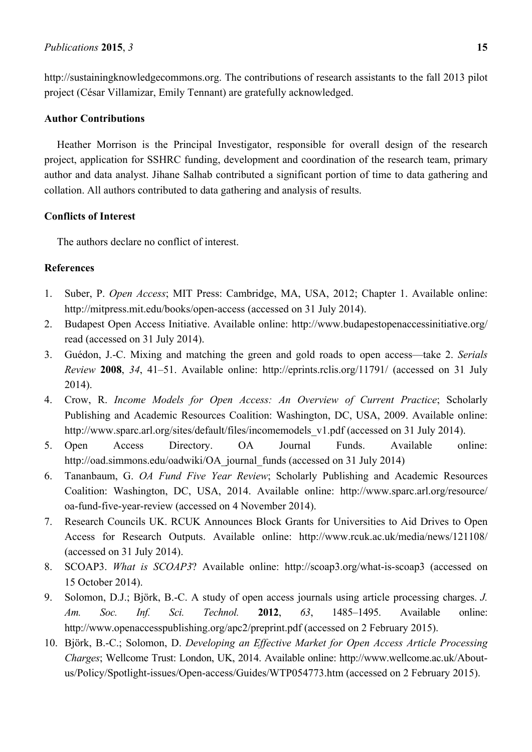http://sustainingknowledgecommons.org. The contributions of research assistants to the fall 2013 pilot project (César Villamizar, Emily Tennant) are gratefully acknowledged.

# **Author Contributions**

Heather Morrison is the Principal Investigator, responsible for overall design of the research project, application for SSHRC funding, development and coordination of the research team, primary author and data analyst. Jihane Salhab contributed a significant portion of time to data gathering and collation. All authors contributed to data gathering and analysis of results.

# **Conflicts of Interest**

The authors declare no conflict of interest.

# **References**

- 1. Suber, P. *Open Access*; MIT Press: Cambridge, MA, USA, 2012; Chapter 1. Available online: http://mitpress.mit.edu/books/open-access (accessed on 31 July 2014).
- 2. Budapest Open Access Initiative. Available online: http://www.budapestopenaccessinitiative.org/ read (accessed on 31 July 2014).
- 3. Guédon, J.-C. Mixing and matching the green and gold roads to open access—take 2. *Serials Review* **2008**, *34*, 41–51. Available online: http://eprints.rclis.org/11791/ (accessed on 31 July 2014).
- 4. Crow, R. *Income Models for Open Access: An Overview of Current Practice*; Scholarly Publishing and Academic Resources Coalition: Washington, DC, USA, 2009. Available online: http://www.sparc.arl.org/sites/default/files/incomemodels\_v1.pdf (accessed on 31 July 2014).
- 5. Open Access Directory. OA Journal Funds. Available online: http://oad.simmons.edu/oadwiki/OA\_journal\_funds (accessed on 31 July 2014)
- 6. Tananbaum, G. *OA Fund Five Year Review*; Scholarly Publishing and Academic Resources Coalition: Washington, DC, USA, 2014. Available online: http://www.sparc.arl.org/resource/ oa-fund-five-year-review (accessed on 4 November 2014).
- 7. Research Councils UK. RCUK Announces Block Grants for Universities to Aid Drives to Open Access for Research Outputs. Available online: http://www.rcuk.ac.uk/media/news/121108/ (accessed on 31 July 2014).
- 8. SCOAP3. *What is SCOAP3*? Available online: http://scoap3.org/what-is-scoap3 (accessed on 15 October 2014).
- 9. Solomon, D.J.; Björk, B.-C. A study of open access journals using article processing charges. *J. Am. Soc. Inf. Sci. Technol.* **2012**, *63*, 1485–1495. Available online: http://www.openaccesspublishing.org/apc2/preprint.pdf (accessed on 2 February 2015).
- 10. Björk, B.-C.; Solomon, D. *Developing an Effective Market for Open Access Article Processing Charges*; Wellcome Trust: London, UK, 2014. Available online: http://www.wellcome.ac.uk/Aboutus/Policy/Spotlight-issues/Open-access/Guides/WTP054773.htm (accessed on 2 February 2015).